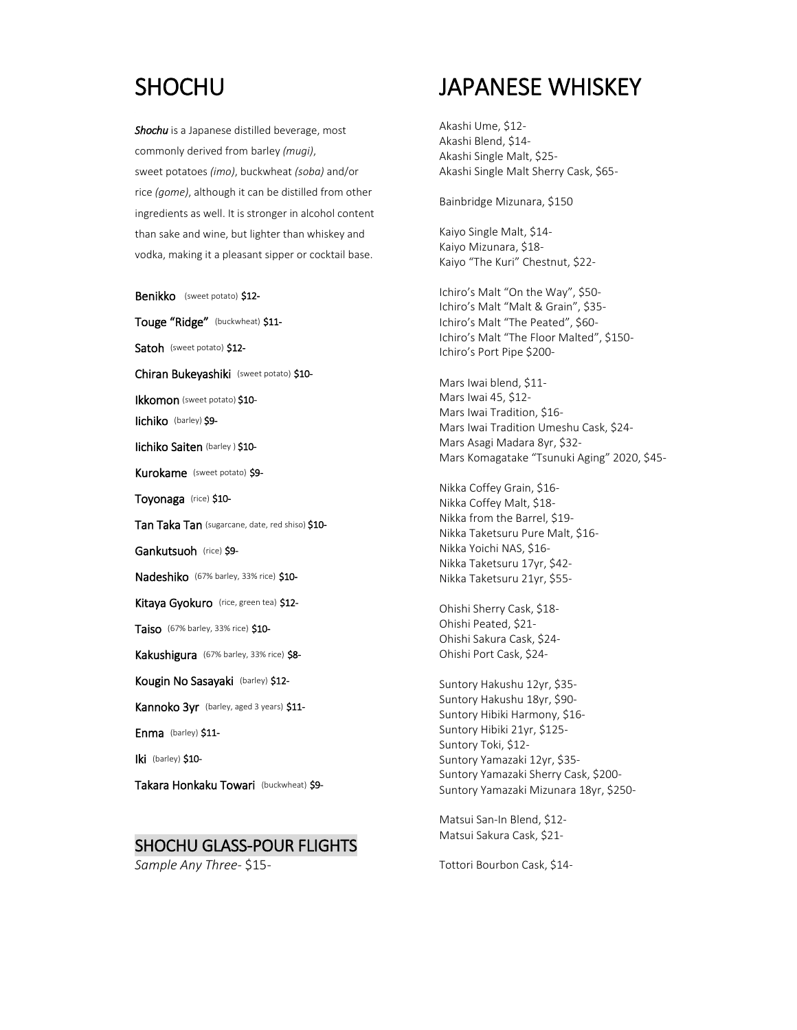### **SHOCHU**

*Shochu* is a Japanese distilled beverage, most commonly derived from barley *(mugi)*, sweet potatoes *(imo)*, buckwheat *(soba)* and/or rice *(gome)*, although it can be distilled from other ingredients as well. It is stronger in alcohol content than sake and wine, but lighter than whiskey and vodka, making it a pleasant sipper or cocktail base.

Benikko (sweet potato) \$12-Touge "Ridge" (buckwheat) \$11- Satoh (sweet potato) \$12-Chiran Bukeyashiki (sweet potato) \$10- Ikkomon (sweet potato) \$10- Iichiko (barley) \$9- Iichiko Saiten (barley ) \$10- Kurokame (sweet potato) \$9-Toyonaga (rice) \$10- Tan Taka Tan (sugarcane, date, red shiso) \$10- Gankutsuoh (rice) \$9-Nadeshiko (67% barley, 33% rice) \$10-Kitaya Gyokuro (rice, green tea) \$12-Taiso (67% barley, 33% rice) \$10- Kakushigura (67% barley, 33% rice) \$8-Kougin No Sasayaki (barley) \$12- Kannoko 3yr (barley, aged 3 years) \$11-Enma (barley) \$11-Iki (barley) \$10-Takara Honkaku Towari (buckwheat) \$9-

### SHOCHU GLASS-POUR FLIGHTS

*Sample Any Three-* \$15-

# JAPANESE WHISKEY

Akashi Ume, \$12- Akashi Blend, \$14- Akashi Single Malt, \$25- Akashi Single Malt Sherry Cask, \$65-

Bainbridge Mizunara, \$150

Kaiyo Single Malt, \$14- Kaiyo Mizunara, \$18- Kaiyo "The Kuri" Chestnut, \$22-

Ichiro's Malt "On the Way", \$50- Ichiro's Malt "Malt & Grain", \$35- Ichiro's Malt "The Peated", \$60- Ichiro's Malt "The Floor Malted", \$150- Ichiro's Port Pipe \$200-

Mars Iwai blend, \$11- Mars Iwai 45, \$12- Mars Iwai Tradition, \$16- Mars Iwai Tradition Umeshu Cask, \$24- Mars Asagi Madara 8yr, \$32- Mars Komagatake "Tsunuki Aging" 2020, \$45-

Nikka Coffey Grain, \$16- Nikka Coffey Malt, \$18- Nikka from the Barrel, \$19- Nikka Taketsuru Pure Malt, \$16- Nikka Yoichi NAS, \$16- Nikka Taketsuru 17yr, \$42- Nikka Taketsuru 21yr, \$55-

Ohishi Sherry Cask, \$18- Ohishi Peated, \$21- Ohishi Sakura Cask, \$24- Ohishi Port Cask, \$24-

Suntory Hakushu 12yr, \$35- Suntory Hakushu 18yr, \$90- Suntory Hibiki Harmony, \$16- Suntory Hibiki 21yr, \$125- Suntory Toki, \$12- Suntory Yamazaki 12yr, \$35- Suntory Yamazaki Sherry Cask, \$200- Suntory Yamazaki Mizunara 18yr, \$250-

Matsui San-In Blend, \$12- Matsui Sakura Cask, \$21-

Tottori Bourbon Cask, \$14-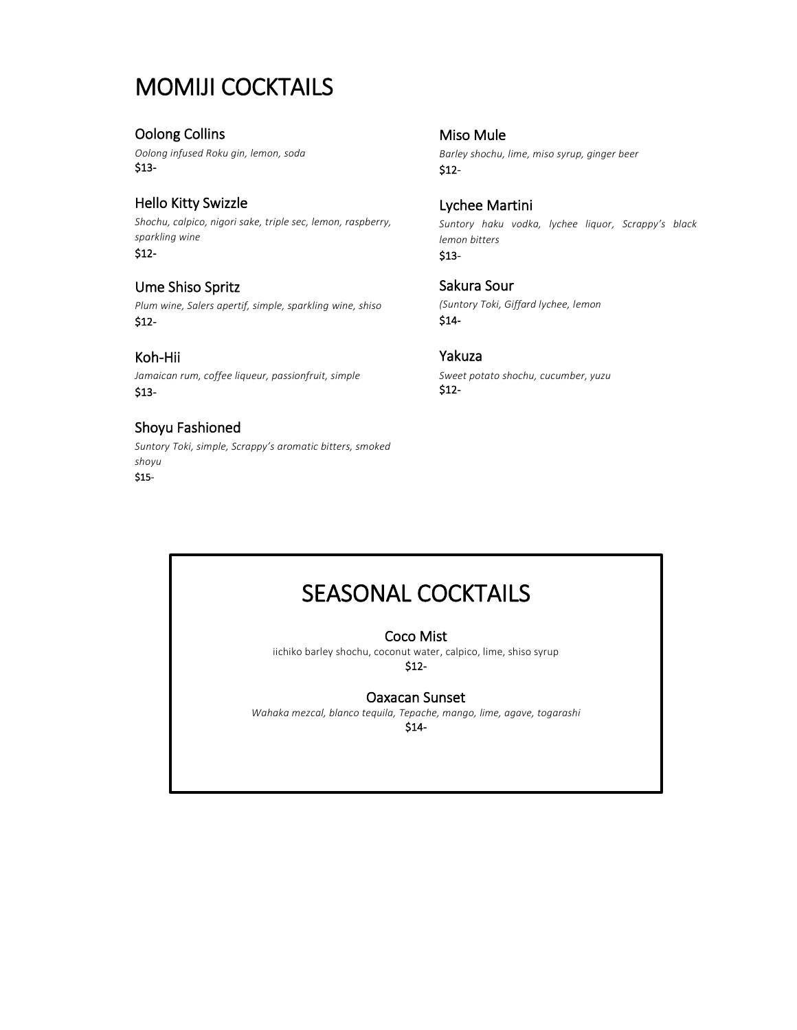### MOMIJI COCKTAILS

### Oolong Collins

*Oolong infused Roku gin, lemon, soda* \$13-

### Hello Kitty Swizzle

*Shochu, calpico, nigori sake, triple sec, lemon, raspberry, sparkling wine* \$12-

### Ume Shiso Spritz

*Plum wine, Salers apertif, simple, sparkling wine, shiso* \$12-

Koh-Hii *Jamaican rum, coffee liqueur, passionfruit, simple* \$13-

### Shoyu Fashioned

*Suntory Toki, simple, Scrappy's aromatic bitters, smoked shoyu* \$15Miso Mule *Barley shochu, lime, miso syrup, ginger beer* \$12-

Lychee Martini *Suntory haku vodka, lychee liquor, Scrappy's black lemon bitters* \$13-

Sakura Sour *(Suntory Toki, Giffard lychee, lemon* \$14-

### Yakuza

*Sweet potato shochu, cucumber, yuzu* \$12-

# SEASONAL COCKTAILS

### Coco Mist

iichiko barley shochu, coconut water, calpico, lime, shiso syrup \$12-

### Oaxacan Sunset

*Wahaka mezcal, blanco tequila, Tepache, mango, lime, agave, togarashi*  \$14-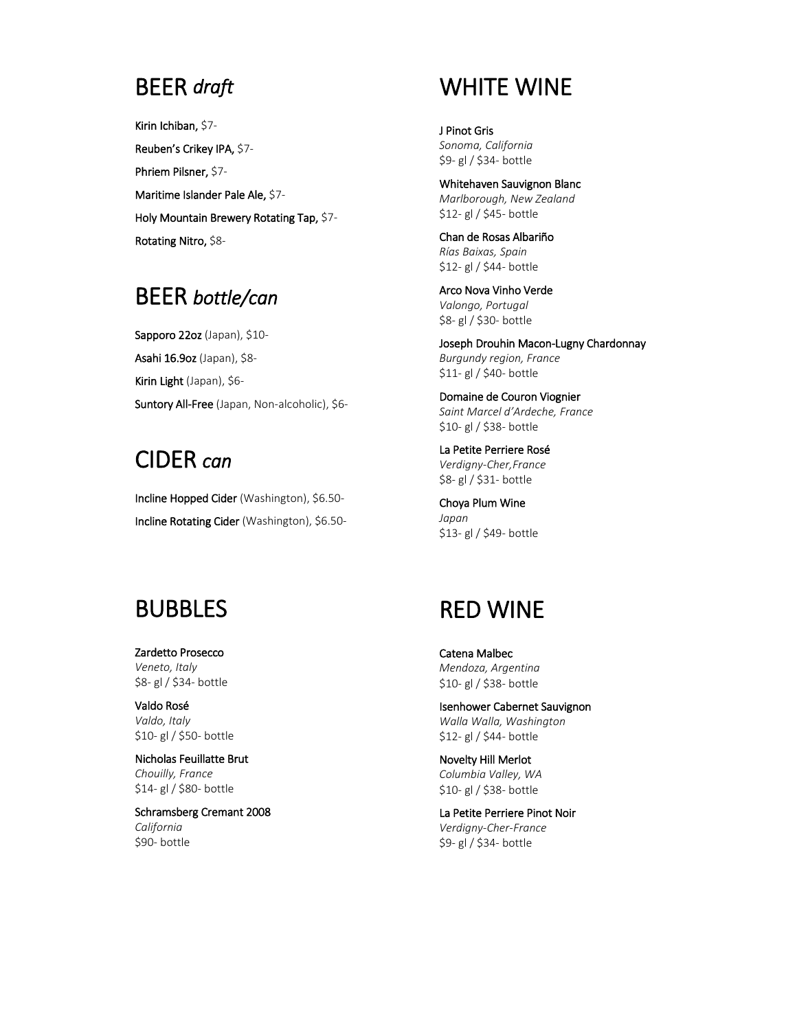### BEER *draft*

Kirin Ichiban, \$7- Reuben's Crikey IPA, \$7- Phriem Pilsner, \$7- Maritime Islander Pale Ale, \$7- Holy Mountain Brewery Rotating Tap, \$7- Rotating Nitro, \$8-

### BEER *bottle/can*

Sapporo 22oz (Japan), \$10-Asahi 16.9oz (Japan), \$8- Kirin Light (Japan), \$6- Suntory All-Free (Japan, Non-alcoholic), \$6-

# CIDER *can*

Incline Hopped Cider (Washington), \$6.50- Incline Rotating Cider (Washington), \$6.50-

## BUBBLES

Zardetto Prosecco *Veneto, Italy* \$8- gl / \$34- bottle

Valdo Rosé *Valdo, Italy* \$10- gl / \$50- bottle

Nicholas Feuillatte Brut *Chouilly, France* \$14- gl / \$80- bottle

Schramsberg Cremant 2008 *California* \$90- bottle

# WHITE WINE

J Pinot Gris *Sonoma, California* \$9- gl / \$34- bottle

Whitehaven Sauvignon Blanc *Marlborough, New Zealand* \$12- gl / \$45- bottle

Chan de Rosas Albariño *Rías Baixas, Spain* \$12- gl / \$44- bottle

Arco Nova Vinho Verde *Valongo, Portugal* \$8- gl / \$30- bottle

Joseph Drouhin Macon-Lugny Chardonnay *Burgundy region, France* \$11- gl / \$40- bottle

Domaine de Couron Viognier *Saint Marcel d'Ardeche, France*  \$10- gl / \$38- bottle

La Petite Perriere Rosé *Verdigny-Cher,France* \$8- gl / \$31- bottle

Choya Plum Wine *Japan* \$13- gl / \$49- bottle

## RED WINE

Catena Malbec *Mendoza, Argentina* \$10- gl / \$38- bottle

Isenhower Cabernet Sauvignon *Walla Walla, Washington* \$12- gl / \$44- bottle

Novelty Hill Merlot *Columbia Valley, WA* \$10- gl / \$38- bottle

La Petite Perriere Pinot Noir *Verdigny-Cher-France* \$9- gl / \$34- bottle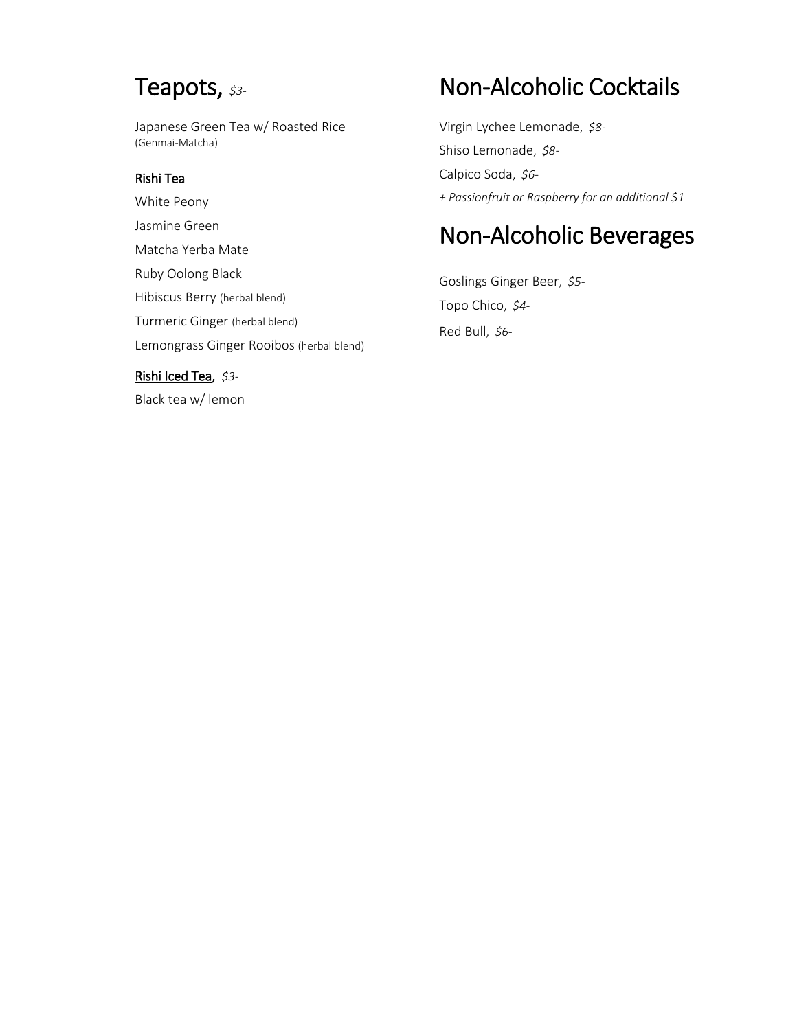## Teapots, *\$3-*

Japanese Green Tea w/ Roasted Rice (Genmai-Matcha)

### Rishi Tea

White Peony Jasmine Green Matcha Yerba Mate Ruby Oolong Black Hibiscus Berry (herbal blend) Turmeric Ginger (herbal blend) Lemongrass Ginger Rooibos (herbal blend)

### Rishi Iced Tea, *\$3-*

Black tea w/ lemon

# Non-Alcoholic Cocktails

Virgin Lychee Lemonade, *\$8-* Shiso Lemonade, *\$8-* Calpico Soda, *\$6- + Passionfruit or Raspberry for an additional \$1*

# Non-Alcoholic Beverages

Goslings Ginger Beer, *\$5-* Topo Chico, *\$4-* Red Bull, *\$6-*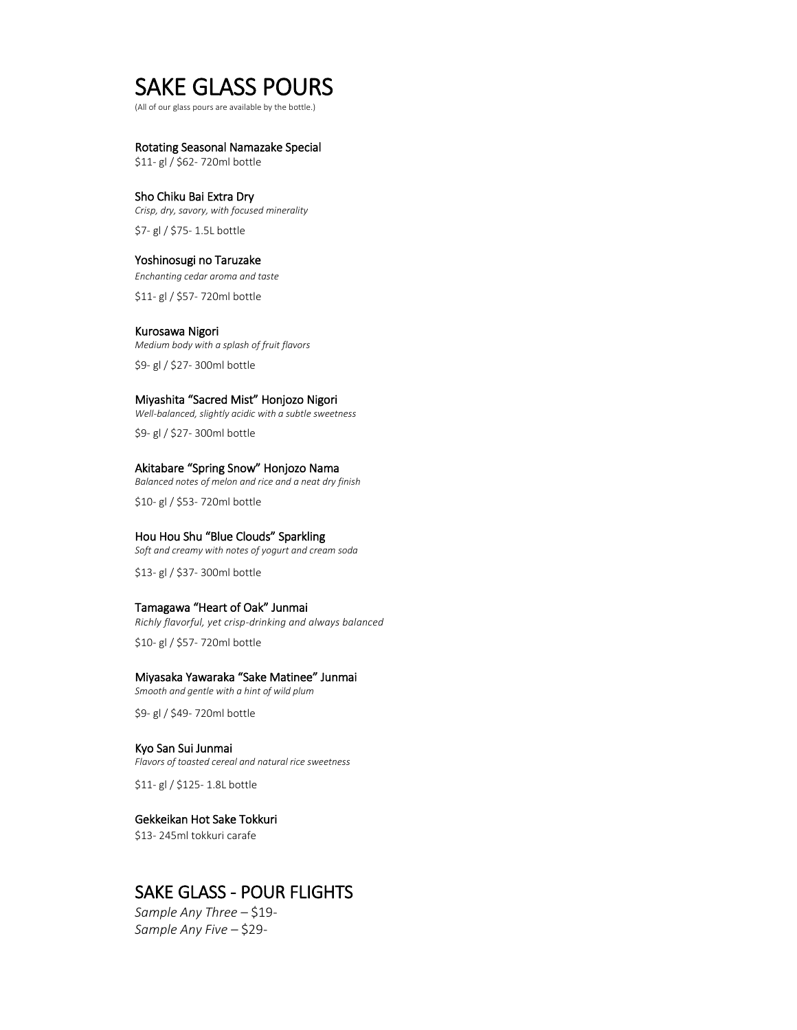### SAKE GLASS POURS

(All of our glass pours are available by the bottle.)

#### Rotating Seasonal Namazake Special

\$11- gl / \$62- 720ml bottle

#### Sho Chiku Bai Extra Dry

*Crisp, dry, savory, with focused minerality* \$7- gl / \$75- 1.5L bottle

#### Yoshinosugi no Taruzake

*Enchanting cedar aroma and taste* \$11- gl / \$57- 720ml bottle

#### Kurosawa Nigori

*Medium body with a splash of fruit flavors* \$9- gl / \$27- 300ml bottle

#### Miyashita "Sacred Mist" Honjozo Nigori

*Well-balanced, slightly acidic with a subtle sweetness* \$9- gl / \$27- 300ml bottle

#### Akitabare "Spring Snow" Honjozo Nama

*Balanced notes of melon and rice and a neat dry finish* \$10- gl / \$53- 720ml bottle

#### Hou Hou Shu "Blue Clouds" Sparkling

*Soft and creamy with notes of yogurt and cream soda*

\$13- gl / \$37- 300ml bottle

#### Tamagawa "Heart of Oak" Junmai

*Richly flavorful, yet crisp-drinking and always balanced*

\$10- gl / \$57- 720ml bottle

#### Miyasaka Yawaraka "Sake Matinee" Junmai

*Smooth and gentle with a hint of wild plum*

\$9- gl / \$49- 720ml bottle

#### Kyo San Sui Junmai

*Flavors of toasted cereal and natural rice sweetness*

\$11- gl / \$125- 1.8L bottle

#### Gekkeikan Hot Sake Tokkuri

\$13- 245ml tokkuri carafe

### SAKE GLASS - POUR FLIGHTS

*Sample Any Three –* \$19- *Sample Any Five –* \$29-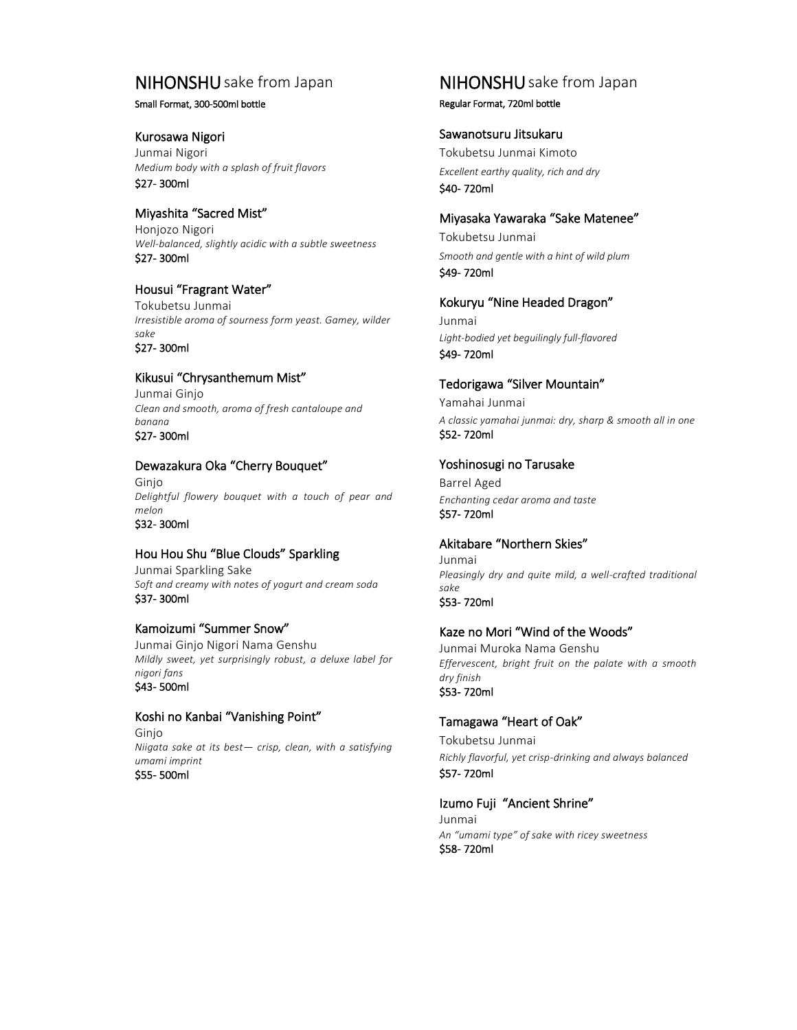### NIHONSHU sake from Japan

#### Small Format, 300-500ml bottle

#### Kurosawa Nigori

Junmai Nigori *Medium body with a splash of fruit flavors* \$27- 300ml

Miyashita "Sacred Mist" Honjozo Nigori *Well-balanced, slightly acidic with a subtle sweetness* \$27- 300ml

#### Housui "Fragrant Water"

Tokubetsu Junmai *Irresistible aroma of sourness form yeast. Gamey, wilder sake* \$27- 300ml

#### Kikusui "Chrysanthemum Mist"

Junmai Ginjo *Clean and smooth, aroma of fresh cantaloupe and banana* \$27- 300ml

#### Dewazakura Oka "Cherry Bouquet"

Ginjo *Delightful flowery bouquet with a touch of pear and melon* \$32- 300ml

#### Hou Hou Shu "Blue Clouds" Sparkling

Junmai Sparkling Sake *Soft and creamy with notes of yogurt and cream soda* \$37- 300ml

#### Kamoizumi "Summer Snow"

Junmai Ginjo Nigori Nama Genshu *Mildly sweet, yet surprisingly robust, a deluxe label for nigori fans* \$43- 500ml

#### Koshi no Kanbai "Vanishing Point"

Ginjo *Niigata sake at its best— crisp, clean, with a satisfying umami imprint* \$55- 500ml

## NIHONSHU sake from Japan

Regular Format, 720ml bottle

#### Sawanotsuru Jitsukaru

Tokubetsu Junmai Kimoto *Excellent earthy quality, rich and dry* \$40- 720ml

### Miyasaka Yawaraka "Sake Matenee"

Tokubetsu Junmai *Smooth and gentle with a hint of wild plum* \$49- 720ml

#### Kokuryu "Nine Headed Dragon"

Junmai *Light-bodied yet beguilingly full-flavored* \$49- 720ml

#### Tedorigawa "Silver Mountain"

Yamahai Junmai *A classic yamahai junmai: dry, sharp & smooth all in one* \$52- 720ml

#### Yoshinosugi no Tarusake

Barrel Aged *Enchanting cedar aroma and taste*  \$57- 720ml

#### Akitabare "Northern Skies"

Junmai *Pleasingly dry and quite mild, a well-crafted traditional sake* \$53- 720ml

#### Kaze no Mori "Wind of the Woods"

Junmai Muroka Nama Genshu *Effervescent, bright fruit on the palate with a smooth dry finish* \$53- 720ml

#### Tamagawa "Heart of Oak"

Tokubetsu Junmai *Richly flavorful, yet crisp-drinking and always balanced* \$57- 720ml

#### Izumo Fuji "Ancient Shrine"

Junmai *An "umami type" of sake with ricey sweetness* \$58- 720ml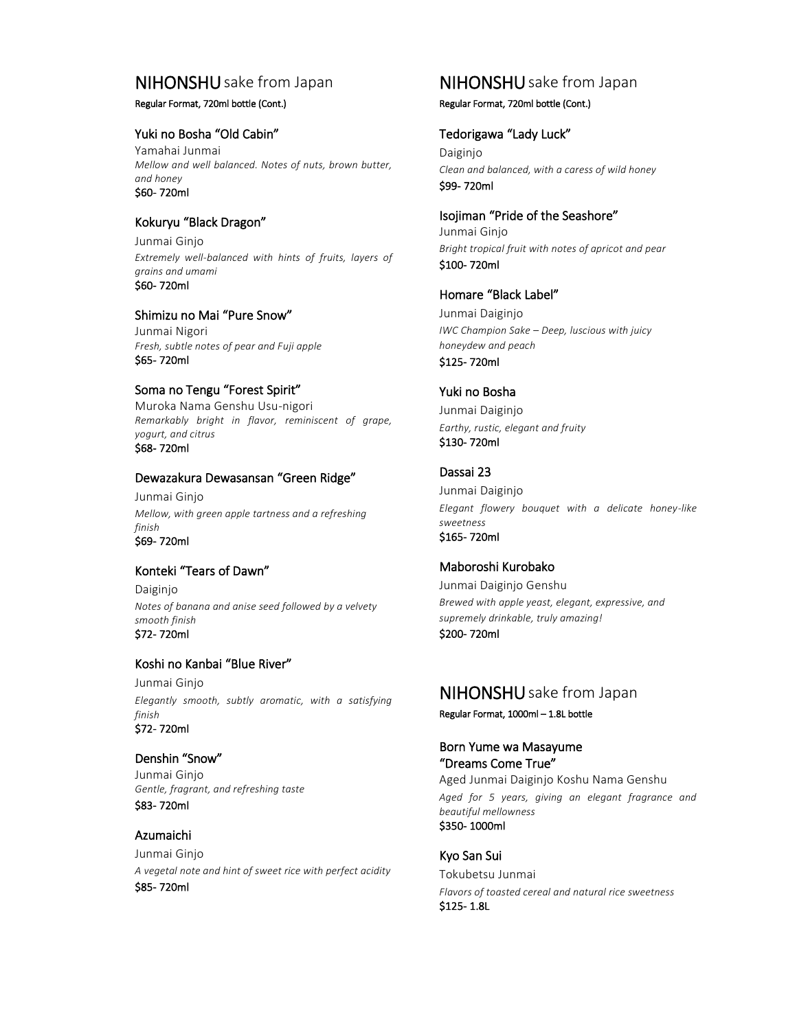### NIHONSHU sake from Japan

#### Regular Format, 720ml bottle (Cont.)

#### Yuki no Bosha "Old Cabin"

Yamahai Junmai *Mellow and well balanced. Notes of nuts, brown butter, and honey*  \$60- 720ml

#### Kokuryu "Black Dragon"

Junmai Ginjo *Extremely well-balanced with hints of fruits, layers of grains and umami* \$60- 720ml

#### Shimizu no Mai "Pure Snow"

Junmai Nigori *Fresh, subtle notes of pear and Fuji apple* \$65- 720ml

#### Soma no Tengu "Forest Spirit"

Muroka Nama Genshu Usu-nigori *Remarkably bright in flavor, reminiscent of grape, yogurt, and citrus* \$68- 720ml

#### Dewazakura Dewasansan "Green Ridge"

Junmai Ginjo *Mellow, with green apple tartness and a refreshing finish* \$69- 720ml

#### Konteki "Tears of Dawn"

Daiginjo *Notes of banana and anise seed followed by a velvety smooth finish* \$72- 720ml

#### Koshi no Kanbai "Blue River"

Junmai Ginjo *Elegantly smooth, subtly aromatic, with a satisfying finish* \$72- 720ml

#### Denshin "Snow"

Junmai Ginjo *Gentle, fragrant, and refreshing taste* \$83- 720ml

#### Azumaichi

Junmai Ginjo *A vegetal note and hint of sweet rice with perfect acidity* \$85- 720ml

### NIHONSHU sake from Japan

#### Regular Format, 720ml bottle (Cont.)

#### Tedorigawa "Lady Luck"

Daiginjo *Clean and balanced, with a caress of wild honey* \$99- 720ml

Isojiman "Pride of the Seashore" Junmai Ginjo *Bright tropical fruit with notes of apricot and pear* \$100- 720ml

### Homare "Black Label"

Junmai Daiginjo *IWC Champion Sake – Deep, luscious with juicy honeydew and peach*

\$125- 720ml

#### Yuki no Bosha

Junmai Daiginjo *Earthy, rustic, elegant and fruity* \$130- 720ml

### Dassai 23

Junmai Daiginjo *Elegant flowery bouquet with a delicate honey-like sweetness* \$165- 720ml

#### Maboroshi Kurobako

Junmai Daiginjo Genshu *Brewed with apple yeast, elegant, expressive, and supremely drinkable, truly amazing!* \$200- 720ml

### NIHONSHU sake from Japan

Regular Format, 1000ml – 1.8L bottle

#### Born Yume wa Masayume "Dreams Come True"

Aged Junmai Daiginjo Koshu Nama Genshu *Aged for 5 years, giving an elegant fragrance and beautiful mellowness* \$350- 1000ml

#### Kyo San Sui

Tokubetsu Junmai *Flavors of toasted cereal and natural rice sweetness* \$125- 1.8L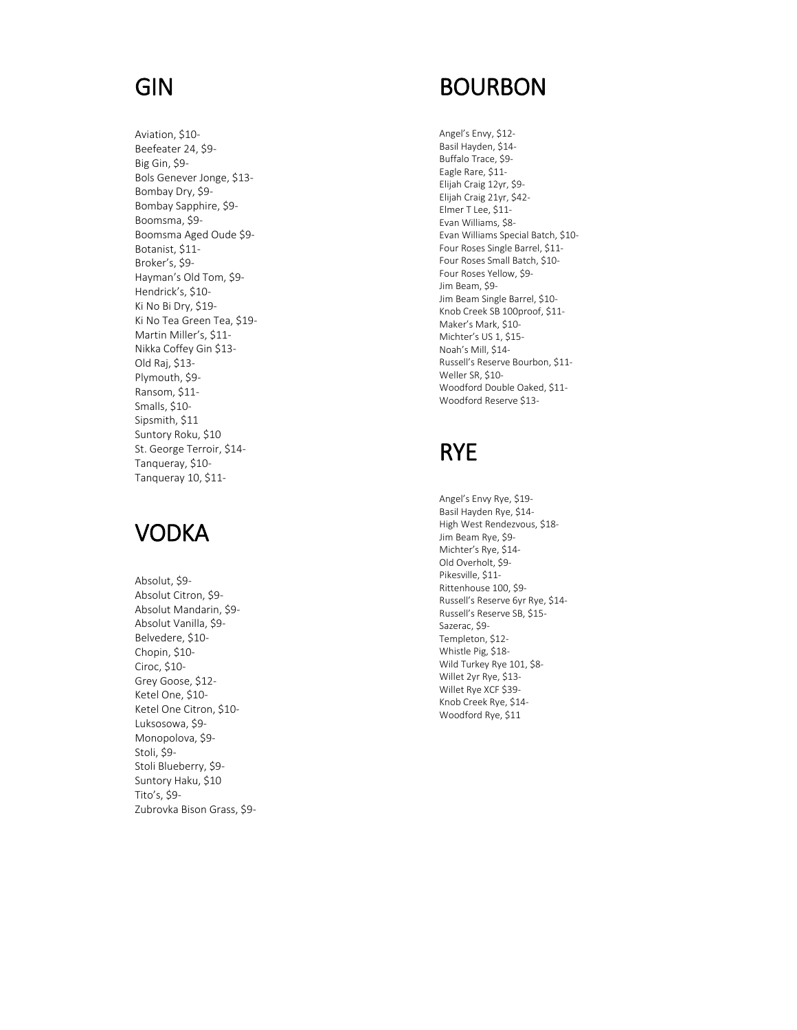# GIN

Aviation, \$10 - Beefeater 24, \$9 - Big Gin, \$9 - Bols Genever Jonge, \$13 - Bombay Dry, \$9 - Bombay Sapphire, \$9 - Boomsma, \$9 - Boomsma Aged Oude \$9 - Botanist, \$11 - Broker's, \$9 - Hayman's Old Tom, \$9 - Hendrick's, \$10 - Ki No Bi Dry, \$19 - Ki No Tea Green Tea, \$19 - Martin Miller's, \$11 - Nikka Coffey Gin \$13 - Old Raj, \$13 - Plymouth, \$9 - Ransom, \$11 - Smalls, \$10 - Sipsmith, \$11 Suntory Roku, \$10 St. George Terroir, \$14 - Tanqueray, \$10 - Tanqueray 10, \$11 -

## VODKA

Absolut, \$9 - Absolut Citron, \$9 - Absolut Mandarin, \$9 - Absolut Vanilla, \$9 - Belvedere, \$10 - Chopin, \$10 - Ciroc, \$10 - Grey Goose, \$12 - Ketel One, \$10 - Ketel One Citron, \$10 - Luksosowa, \$9 - Monopolova, \$9 - Stoli, \$9 - Stoli Blueberry, \$9 - Suntory Haku, \$10 Tito's, \$9 - Zubrovka Bison Grass, \$9 -

# BOURBON

Angel's Envy, \$12 - Basil Hayden, \$14 - Buffalo Trace, \$9 - Eagle Rare, \$11 - Elijah Craig 12yr, \$9 - Elijah Craig 21yr, \$42 - Elmer T Lee, \$11 - Evan Williams, \$8 - Evan Williams Special Batch, \$10 - Four Roses Single Barrel, \$11 - Four Roses Small Batch, \$10 - Four Roses Yellow, \$9 - Jim Beam, \$9 - Jim Beam Single Barrel, \$10 - Knob Creek SB 100proof, \$11 - Maker's Mark, \$10 - Michter's US 1, \$15 - Noah's Mill, \$14 - Russell's Reserve Bourbon, \$11 - Weller SR, \$10 - Woodford Double Oaked, \$11 - Woodford Reserve \$13 -

## RYE

Angel's Envy Rye, \$19 - Basil Hayden Rye, \$14 - High West Rendezvous, \$18 - Jim Beam Rye, \$9 - Michter's Rye, \$14 - Old Overholt, \$9 - Pikesville, \$11 - Rittenhouse 100, \$9 - Russell's Reserve 6yr Rye, \$14 - Russell's Reserve SB, \$15 - Sazerac, \$9 - Templeton, \$12 - Whistle Pig, \$18 - Wild Turkey Rye 101, \$8 - Willet 2yr Rye, \$13 - Willet Rye XCF \$39 - Knob Creek Rye, \$14 - Woodford Rye, \$11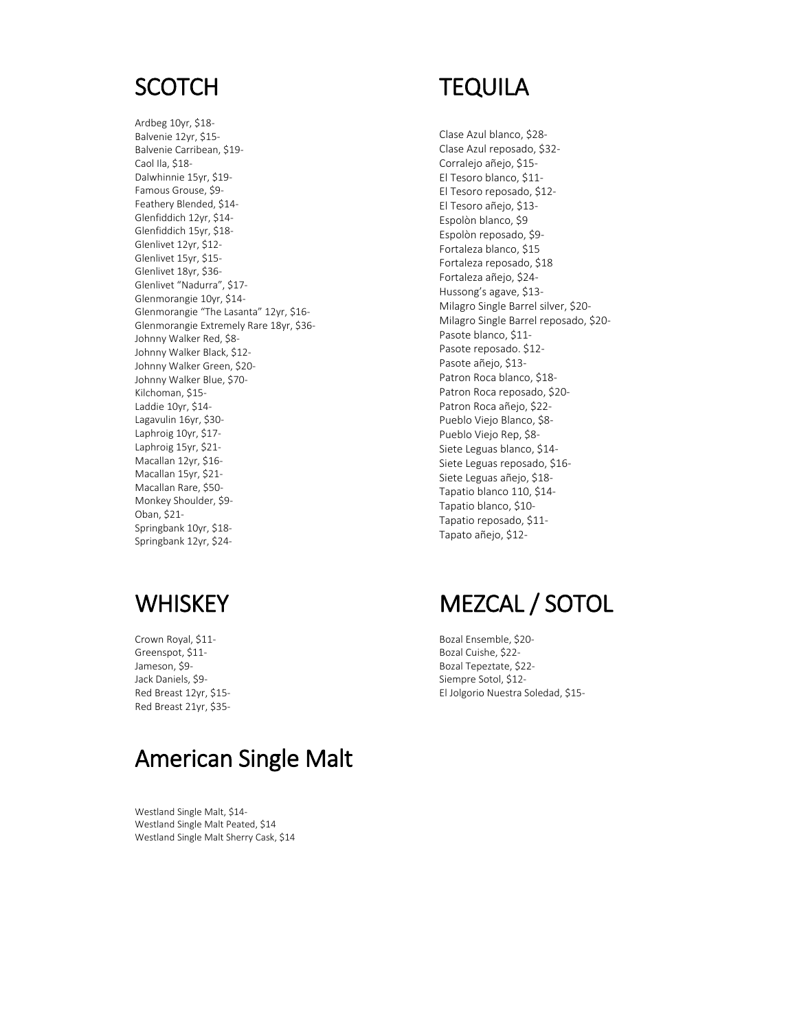## **SCOTCH**

Ardbeg 10yr, \$18- Balvenie 12yr, \$15- Balvenie Carribean, \$19- Caol Ila, \$18- Dalwhinnie 15yr, \$19- Famous Grouse, \$9- Feathery Blended, \$14- Glenfiddich 12yr, \$14- Glenfiddich 15yr, \$18- Glenlivet 12yr, \$12- Glenlivet 15yr, \$15- Glenlivet 18yr, \$36- Glenlivet "Nadurra", \$17- Glenmorangie 10yr, \$14- Glenmorangie "The Lasanta" 12yr, \$16- Glenmorangie Extremely Rare 18yr, \$36- Johnny Walker Red, \$8- Johnny Walker Black, \$12- Johnny Walker Green, \$20- Johnny Walker Blue, \$70- Kilchoman, \$15- Laddie 10yr, \$14- Lagavulin 16yr, \$30- Laphroig 10yr, \$17- Laphroig 15yr, \$21- Macallan 12yr, \$16- Macallan 15yr, \$21- Macallan Rare, \$50- Monkey Shoulder, \$9- Oban, \$21- Springbank 10yr, \$18- Springbank 12yr, \$24-

# **TEQUILA**

Clase Azul blanco, \$28- Clase Azul reposado, \$32- Corralejo añejo, \$15- El Tesoro blanco, \$11- El Tesoro reposado, \$12- El Tesoro añejo, \$13- Espolòn blanco, \$9 Espolòn reposado, \$9- Fortaleza blanco, \$15 Fortaleza reposado, \$18 Fortaleza añejo, \$24- Hussong's agave, \$13- Milagro Single Barrel silver, \$20- Milagro Single Barrel reposado, \$20- Pasote blanco, \$11- Pasote reposado. \$12- Pasote añejo, \$13- Patron Roca blanco, \$18- Patron Roca reposado, \$20- Patron Roca añejo, \$22- Pueblo Viejo Blanco, \$8- Pueblo Viejo Rep, \$8- Siete Leguas blanco, \$14- Siete Leguas reposado, \$16- Siete Leguas añejo, \$18- Tapatio blanco 110, \$14- Tapatio blanco, \$10- Tapatio reposado, \$11- Tapato añejo, \$12-

# **WHISKEY**

Crown Royal, \$11- Greenspot, \$11- Jameson, \$9- Jack Daniels, \$9- Red Breast 12yr, \$15- Red Breast 21yr, \$35-

# American Single Malt

Westland Single Malt, \$14- Westland Single Malt Peated, \$14 Westland Single Malt Sherry Cask, \$14

# MEZCAL / SOTOL

Bozal Ensemble, \$20- Bozal Cuishe, \$22- Bozal Tepeztate, \$22- Siempre Sotol, \$12- El Jolgorio Nuestra Soledad, \$15-